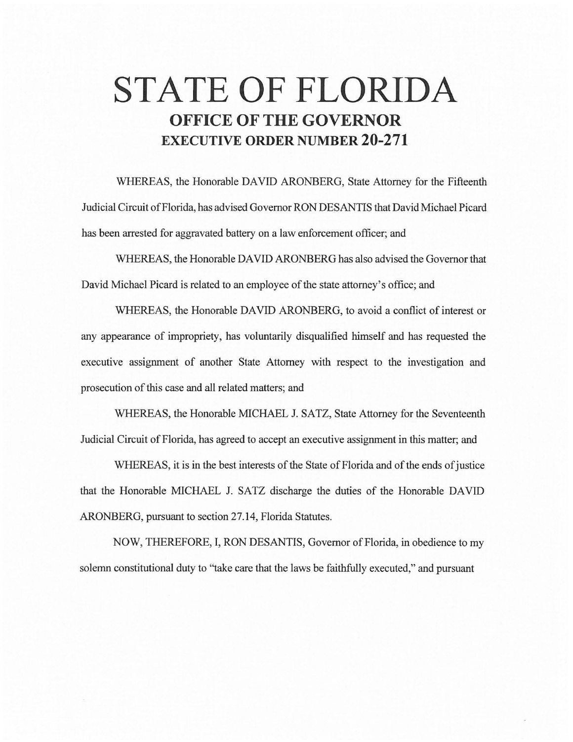# **STATE OF FLORIDA OFFICE OF THE GOVERNOR EXECUTIVE ORDER NUMBER 20-271**

WHEREAS, the Honorable DAVID ARONBERG, State Attorney for the Fifteenth Judicial Circuit of Florida, has advised Governor RON DESANTIS that David Michael Picard has been arrested for aggravated battery on a law enforcement officer; and

WHEREAS, the Honorable DAVID ARONBERG has also advised the Governor that David Michael Picard is related to an employee of the state attorney's office; and

WHEREAS, the Honorable DAVID ARONBERG, to avoid a conflict of interest or any appearance of impropriety, has voluntarily disqualified himself and has requested the executive assignment of another State Attorney with respect to the investigation and prosecution of this case and all related matters; and

WHEREAS, the Honorable MICHAEL J. SATZ, State Attorney for the Seventeenth Judicial Circuit of Florida, has agreed to accept an executive assignment in this matter; and

WHEREAS, it is in the best interests of the State of Florida and of the ends of justice that the Honorable MICHAEL J. SATZ discharge the duties of the Honorable DAVID ARONBERG, pursuant to section 27.14, Florida Statutes.

NOW, THEREFORE, I, RON DESANTIS, Governor of Florida, in obedience to my solemn constitutional duty to "take care that the laws be faithfully executed," and pursuant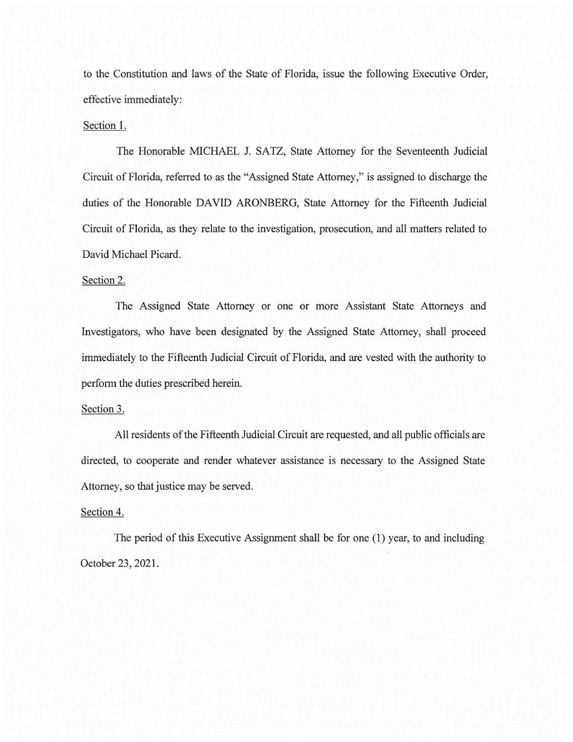to the Constitution and laws of the State of Florida, issue the following Executive Order, effective immediately:

### Section 1.

The Honorable MICHAEL J. SATZ, State Attorney for the Seventeenth Judicial Circuit of Florida, referred to as the "Assigned State Attorney," is assigned to discharge the duties of the Honorable DAVID ARONBERG, State Attorney for the Fifteenth Judicial Circuit of Florida, as they relate to the investigation, prosecution, and all matters related to David Michael Picard.

### Section 2.

The Assigned State Attorney or one or more Assistant State Attorneys and Investigators, who have been designated by the Assigned State Attorney, shall proceed immediately to the Fifteenth Judicial Circuit of Florida, and are vested with the authority to perform the duties prescribed herein.

## Section 3.

All residents of the Fifteenth Judicial Circuit are requested, and all public officials are directed, to cooperate and render whatever assistance is necessary to the Assigned State Attorney, so that justice may be served.

#### Section 4.

The period of this Executive Assignment shall be for one (1) year, to and including October 23, 2021.